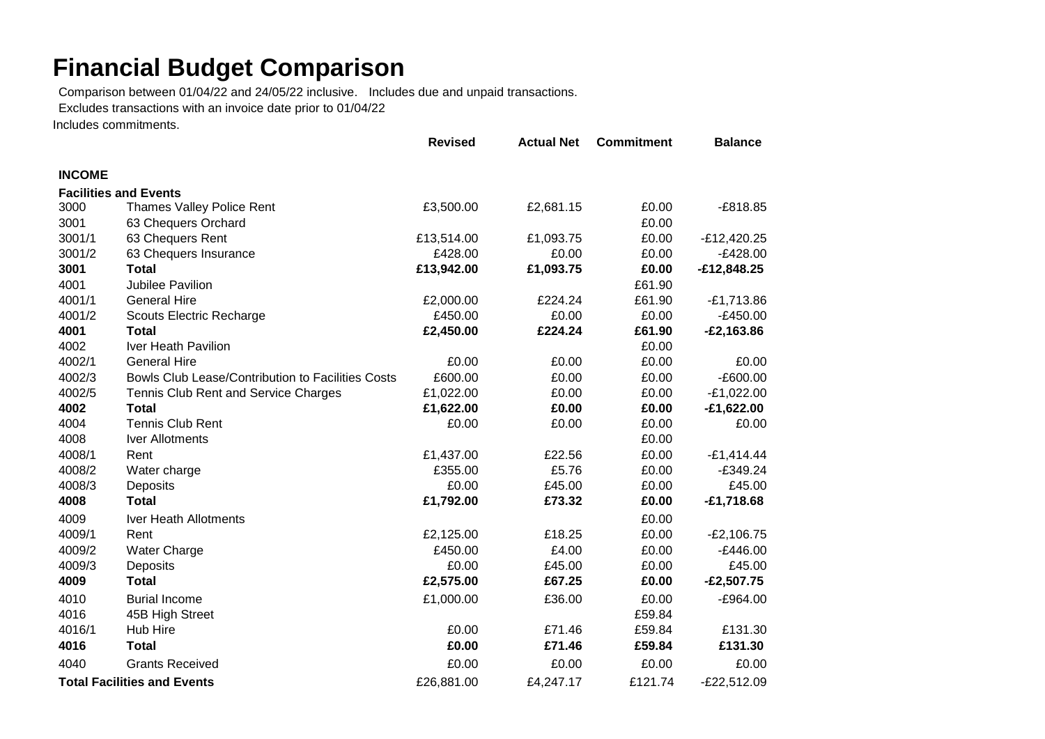## **Financial Budget Comparison**

Comparison between 01/04/22 and 24/05/22 inclusive. Includes due and unpaid transactions.

Excludes transactions with an invoice date prior to 01/04/22

Includes commitments.

|                                    |                                                   | <b>Revised</b> | <b>Actual Net</b> | <b>Commitment</b> | <b>Balance</b> |
|------------------------------------|---------------------------------------------------|----------------|-------------------|-------------------|----------------|
| <b>INCOME</b>                      |                                                   |                |                   |                   |                |
|                                    | <b>Facilities and Events</b>                      |                |                   |                   |                |
| 3000                               | Thames Valley Police Rent                         | £3,500.00      | £2,681.15         | £0.00             | $-£818.85$     |
| 3001                               | 63 Chequers Orchard                               |                |                   | £0.00             |                |
| 3001/1                             | 63 Chequers Rent                                  | £13,514.00     | £1,093.75         | £0.00             | $-E12,420.25$  |
| 3001/2                             | 63 Chequers Insurance                             | £428.00        | £0.00             | £0.00             | $-E428.00$     |
| 3001                               | <b>Total</b>                                      | £13,942.00     | £1,093.75         | £0.00             | $-£12,848.25$  |
| 4001                               | Jubilee Pavilion                                  |                |                   | £61.90            |                |
| 4001/1                             | <b>General Hire</b>                               | £2,000.00      | £224.24           | £61.90            | $-E1,713.86$   |
| 4001/2                             | <b>Scouts Electric Recharge</b>                   | £450.00        | £0.00             | £0.00             | $-E450.00$     |
| 4001                               | <b>Total</b>                                      | £2,450.00      | £224.24           | £61.90            | $-E2,163.86$   |
| 4002                               | Iver Heath Pavilion                               |                |                   | £0.00             |                |
| 4002/1                             | <b>General Hire</b>                               | £0.00          | £0.00             | £0.00             | £0.00          |
| 4002/3                             | Bowls Club Lease/Contribution to Facilities Costs | £600.00        | £0.00             | £0.00             | $-E600.00$     |
| 4002/5                             | Tennis Club Rent and Service Charges              | £1,022.00      | £0.00             | £0.00             | $-E1,022.00$   |
| 4002                               | <b>Total</b>                                      | £1,622.00      | £0.00             | £0.00             | $-£1,622.00$   |
| 4004                               | <b>Tennis Club Rent</b>                           | £0.00          | £0.00             | £0.00             | £0.00          |
| 4008                               | Iver Allotments                                   |                |                   | £0.00             |                |
| 4008/1                             | Rent                                              | £1,437.00      | £22.56            | £0.00             | $-£1,414.44$   |
| 4008/2                             | Water charge                                      | £355.00        | £5.76             | £0.00             | $-£349.24$     |
| 4008/3                             | Deposits                                          | £0.00          | £45.00            | £0.00             | £45.00         |
| 4008                               | <b>Total</b>                                      | £1,792.00      | £73.32            | £0.00             | $-£1,718.68$   |
| 4009                               | Iver Heath Allotments                             |                |                   | £0.00             |                |
| 4009/1                             | Rent                                              | £2,125.00      | £18.25            | £0.00             | $-E2,106.75$   |
| 4009/2                             | <b>Water Charge</b>                               | £450.00        | £4.00             | £0.00             | $-£446.00$     |
| 4009/3                             | Deposits                                          | £0.00          | £45.00            | £0.00             | £45.00         |
| 4009                               | <b>Total</b>                                      | £2,575.00      | £67.25            | £0.00             | $-£2,507.75$   |
| 4010                               | <b>Burial Income</b>                              | £1,000.00      | £36.00            | £0.00             | $-£964.00$     |
| 4016                               | 45B High Street                                   |                |                   | £59.84            |                |
| 4016/1                             | Hub Hire                                          | £0.00          | £71.46            | £59.84            | £131.30        |
| 4016                               | <b>Total</b>                                      | £0.00          | £71.46            | £59.84            | £131.30        |
| 4040                               | <b>Grants Received</b>                            | £0.00          | £0.00             | £0.00             | £0.00          |
| <b>Total Facilities and Events</b> |                                                   | £26,881.00     | £4,247.17         | £121.74           | $-E22,512.09$  |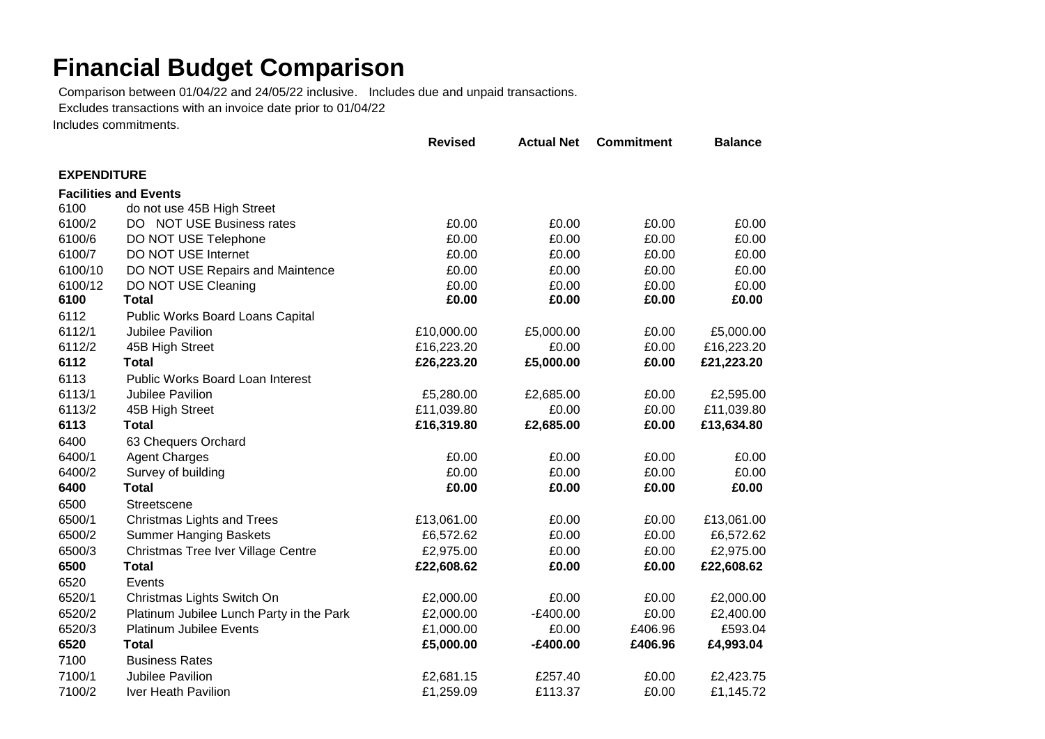## **Financial Budget Comparison**

Comparison between 01/04/22 and 24/05/22 inclusive. Includes due and unpaid transactions.

Excludes transactions with an invoice date prior to 01/04/22

Includes commitments.

|                    |                                          | <b>Revised</b> | <b>Actual Net</b> | <b>Commitment</b> | <b>Balance</b> |
|--------------------|------------------------------------------|----------------|-------------------|-------------------|----------------|
| <b>EXPENDITURE</b> |                                          |                |                   |                   |                |
|                    | <b>Facilities and Events</b>             |                |                   |                   |                |
| 6100               | do not use 45B High Street               |                |                   |                   |                |
| 6100/2             | DO NOT USE Business rates                | £0.00          | £0.00             | £0.00             | £0.00          |
| 6100/6             | DO NOT USE Telephone                     | £0.00          | £0.00             | £0.00             | £0.00          |
| 6100/7             | DO NOT USE Internet                      | £0.00          | £0.00             | £0.00             | £0.00          |
| 6100/10            | DO NOT USE Repairs and Maintence         | £0.00          | £0.00             | £0.00             | £0.00          |
| 6100/12            | DO NOT USE Cleaning                      | £0.00          | £0.00             | £0.00             | £0.00          |
| 6100               | <b>Total</b>                             | £0.00          | £0.00             | £0.00             | £0.00          |
| 6112               | Public Works Board Loans Capital         |                |                   |                   |                |
| 6112/1             | Jubilee Pavilion                         | £10,000.00     | £5,000.00         | £0.00             | £5,000.00      |
| 6112/2             | 45B High Street                          | £16,223.20     | £0.00             | £0.00             | £16,223.20     |
| 6112               | <b>Total</b>                             | £26,223.20     | £5,000.00         | £0.00             | £21,223.20     |
| 6113               | Public Works Board Loan Interest         |                |                   |                   |                |
| 6113/1             | Jubilee Pavilion                         | £5,280.00      | £2,685.00         | £0.00             | £2,595.00      |
| 6113/2             | 45B High Street                          | £11,039.80     | £0.00             | £0.00             | £11,039.80     |
| 6113               | <b>Total</b>                             | £16,319.80     | £2,685.00         | £0.00             | £13,634.80     |
| 6400               | 63 Chequers Orchard                      |                |                   |                   |                |
| 6400/1             | <b>Agent Charges</b>                     | £0.00          | £0.00             | £0.00             | £0.00          |
| 6400/2             | Survey of building                       | £0.00          | £0.00             | £0.00             | £0.00          |
| 6400               | <b>Total</b>                             | £0.00          | £0.00             | £0.00             | £0.00          |
| 6500               | Streetscene                              |                |                   |                   |                |
| 6500/1             | <b>Christmas Lights and Trees</b>        | £13,061.00     | £0.00             | £0.00             | £13,061.00     |
| 6500/2             | <b>Summer Hanging Baskets</b>            | £6,572.62      | £0.00             | £0.00             | £6,572.62      |
| 6500/3             | Christmas Tree Iver Village Centre       | £2,975.00      | £0.00             | £0.00             | £2,975.00      |
| 6500               | <b>Total</b>                             | £22,608.62     | £0.00             | £0.00             | £22,608.62     |
| 6520               | Events                                   |                |                   |                   |                |
| 6520/1             | Christmas Lights Switch On               | £2,000.00      | £0.00             | £0.00             | £2,000.00      |
| 6520/2             | Platinum Jubilee Lunch Party in the Park | £2,000.00      | $-E400.00$        | £0.00             | £2,400.00      |
| 6520/3             | <b>Platinum Jubilee Events</b>           | £1,000.00      | £0.00             | £406.96           | £593.04        |
| 6520               | <b>Total</b>                             | £5,000.00      | $-£400.00$        | £406.96           | £4,993.04      |
| 7100               | <b>Business Rates</b>                    |                |                   |                   |                |
| 7100/1             | Jubilee Pavilion                         | £2,681.15      | £257.40           | £0.00             | £2,423.75      |
| 7100/2             | Iver Heath Pavilion                      | £1,259.09      | £113.37           | £0.00             | £1,145.72      |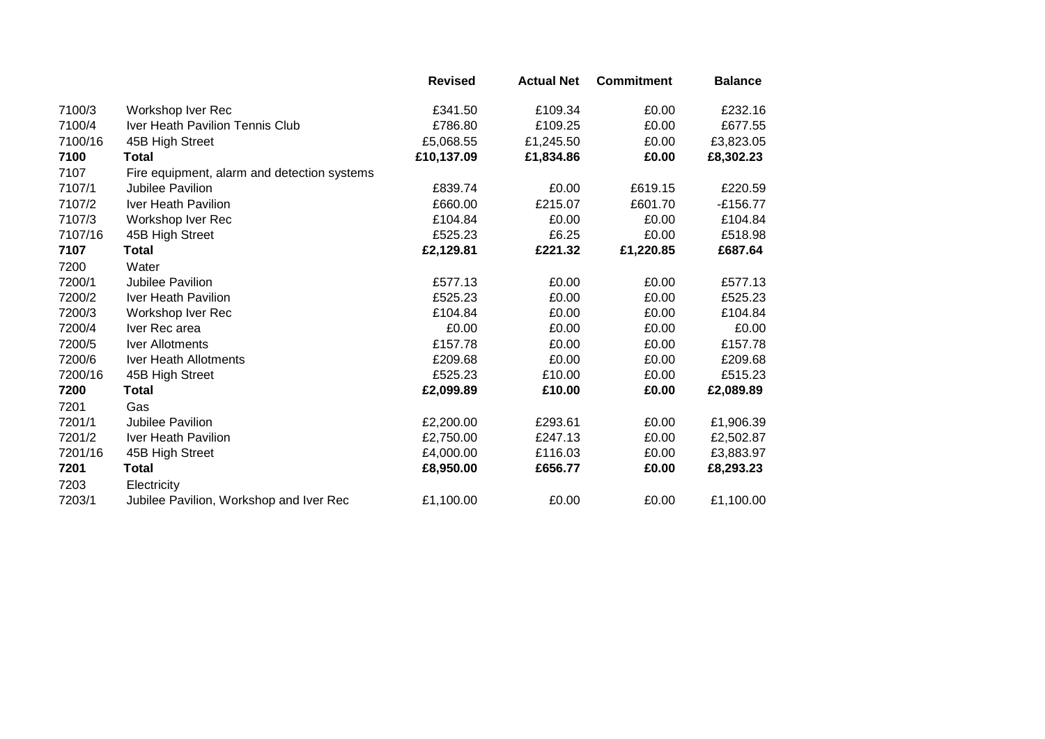|         |                                             | <b>Revised</b> | <b>Actual Net</b> | <b>Commitment</b> | <b>Balance</b> |
|---------|---------------------------------------------|----------------|-------------------|-------------------|----------------|
| 7100/3  | Workshop Iver Rec                           | £341.50        | £109.34           | £0.00             | £232.16        |
| 7100/4  | Iver Heath Pavilion Tennis Club             | £786.80        | £109.25           | £0.00             | £677.55        |
| 7100/16 | 45B High Street                             | £5,068.55      | £1,245.50         | £0.00             | £3,823.05      |
| 7100    | Total                                       | £10,137.09     | £1,834.86         | £0.00             | £8,302.23      |
| 7107    | Fire equipment, alarm and detection systems |                |                   |                   |                |
| 7107/1  | Jubilee Pavilion                            | £839.74        | £0.00             | £619.15           | £220.59        |
| 7107/2  | Iver Heath Pavilion                         | £660.00        | £215.07           | £601.70           | $-£156.77$     |
| 7107/3  | Workshop Iver Rec                           | £104.84        | £0.00             | £0.00             | £104.84        |
| 7107/16 | 45B High Street                             | £525.23        | £6.25             | £0.00             | £518.98        |
| 7107    | Total                                       | £2,129.81      | £221.32           | £1,220.85         | £687.64        |
| 7200    | Water                                       |                |                   |                   |                |
| 7200/1  | Jubilee Pavilion                            | £577.13        | £0.00             | £0.00             | £577.13        |
| 7200/2  | Iver Heath Pavilion                         | £525.23        | £0.00             | £0.00             | £525.23        |
| 7200/3  | Workshop Iver Rec                           | £104.84        | £0.00             | £0.00             | £104.84        |
| 7200/4  | Iver Rec area                               | £0.00          | £0.00             | £0.00             | £0.00          |
| 7200/5  | Iver Allotments                             | £157.78        | £0.00             | £0.00             | £157.78        |
| 7200/6  | <b>Iver Heath Allotments</b>                | £209.68        | £0.00             | £0.00             | £209.68        |
| 7200/16 | 45B High Street                             | £525.23        | £10.00            | £0.00             | £515.23        |
| 7200    | Total                                       | £2,099.89      | £10.00            | £0.00             | £2,089.89      |
| 7201    | Gas                                         |                |                   |                   |                |
| 7201/1  | Jubilee Pavilion                            | £2,200.00      | £293.61           | £0.00             | £1,906.39      |
| 7201/2  | Iver Heath Pavilion                         | £2,750.00      | £247.13           | £0.00             | £2,502.87      |
| 7201/16 | 45B High Street                             | £4,000.00      | £116.03           | £0.00             | £3,883.97      |
| 7201    | Total                                       | £8,950.00      | £656.77           | £0.00             | £8,293.23      |
| 7203    | Electricity                                 |                |                   |                   |                |
| 7203/1  | Jubilee Pavilion, Workshop and Iver Rec     | £1,100.00      | £0.00             | £0.00             | £1,100.00      |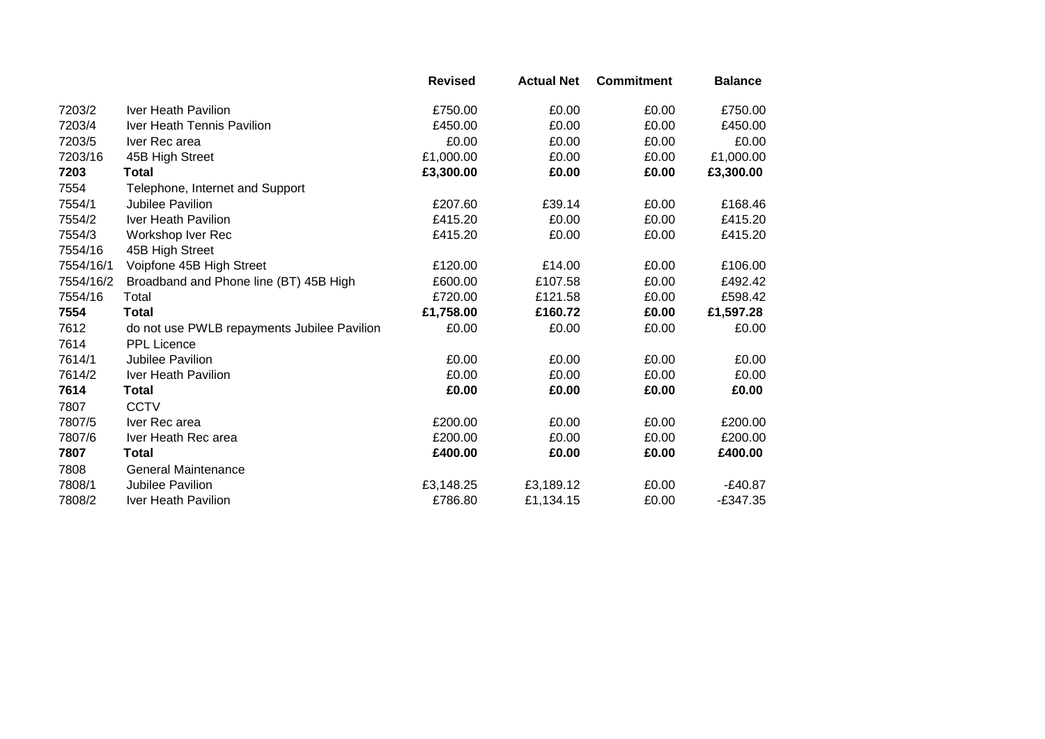|           |                                             | <b>Revised</b> | <b>Actual Net</b> | <b>Commitment</b> | <b>Balance</b> |
|-----------|---------------------------------------------|----------------|-------------------|-------------------|----------------|
| 7203/2    | Iver Heath Pavilion                         | £750.00        | £0.00             | £0.00             | £750.00        |
| 7203/4    | Iver Heath Tennis Pavilion                  | £450.00        | £0.00             | £0.00             | £450.00        |
| 7203/5    | Iver Rec area                               | £0.00          | £0.00             | £0.00             | £0.00          |
| 7203/16   | 45B High Street                             | £1,000.00      | £0.00             | £0.00             | £1,000.00      |
| 7203      | Total                                       | £3,300.00      | £0.00             | £0.00             | £3,300.00      |
| 7554      | Telephone, Internet and Support             |                |                   |                   |                |
| 7554/1    | Jubilee Pavilion                            | £207.60        | £39.14            | £0.00             | £168.46        |
| 7554/2    | Iver Heath Pavilion                         | £415.20        | £0.00             | £0.00             | £415.20        |
| 7554/3    | Workshop Iver Rec                           | £415.20        | £0.00             | £0.00             | £415.20        |
| 7554/16   | 45B High Street                             |                |                   |                   |                |
| 7554/16/1 | Voipfone 45B High Street                    | £120.00        | £14.00            | £0.00             | £106.00        |
| 7554/16/2 | Broadband and Phone line (BT) 45B High      | £600.00        | £107.58           | £0.00             | £492.42        |
| 7554/16   | Total                                       | £720.00        | £121.58           | £0.00             | £598.42        |
| 7554      | <b>Total</b>                                | £1,758.00      | £160.72           | £0.00             | £1,597.28      |
| 7612      | do not use PWLB repayments Jubilee Pavilion | £0.00          | £0.00             | £0.00             | £0.00          |
| 7614      | <b>PPL Licence</b>                          |                |                   |                   |                |
| 7614/1    | Jubilee Pavilion                            | £0.00          | £0.00             | £0.00             | £0.00          |
| 7614/2    | Iver Heath Pavilion                         | £0.00          | £0.00             | £0.00             | £0.00          |
| 7614      | Total                                       | £0.00          | £0.00             | £0.00             | £0.00          |
| 7807      | <b>CCTV</b>                                 |                |                   |                   |                |
| 7807/5    | Iver Rec area                               | £200.00        | £0.00             | £0.00             | £200.00        |
| 7807/6    | Iver Heath Rec area                         | £200.00        | £0.00             | £0.00             | £200.00        |
| 7807      | Total                                       | £400.00        | £0.00             | £0.00             | £400.00        |
| 7808      | <b>General Maintenance</b>                  |                |                   |                   |                |
| 7808/1    | Jubilee Pavilion                            | £3,148.25      | £3,189.12         | £0.00             | $-E40.87$      |
| 7808/2    | Iver Heath Pavilion                         | £786.80        | £1,134.15         | £0.00             | $-£347.35$     |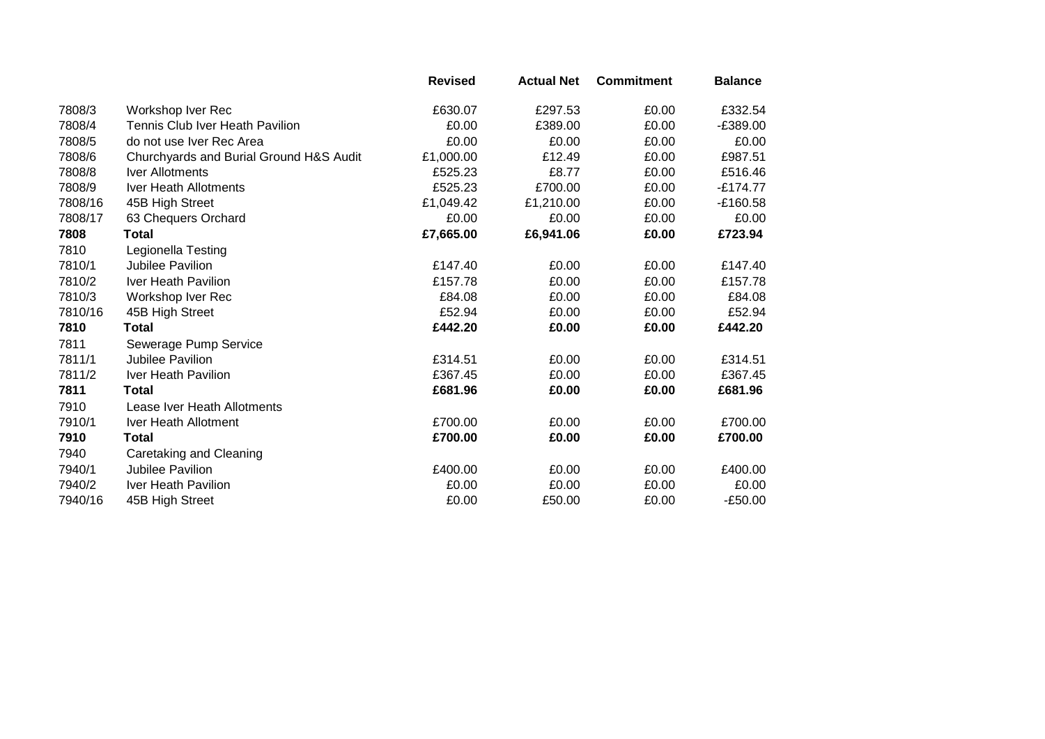|         |                                         | <b>Revised</b> | <b>Actual Net</b> | <b>Commitment</b> | <b>Balance</b> |
|---------|-----------------------------------------|----------------|-------------------|-------------------|----------------|
| 7808/3  | Workshop Iver Rec                       | £630.07        | £297.53           | £0.00             | £332.54        |
| 7808/4  | Tennis Club Iver Heath Pavilion         | £0.00          | £389.00           | £0.00             | -£389.00       |
| 7808/5  | do not use Iver Rec Area                | £0.00          | £0.00             | £0.00             | £0.00          |
| 7808/6  | Churchyards and Burial Ground H&S Audit | £1,000.00      | £12.49            | £0.00             | £987.51        |
| 7808/8  | <b>Iver Allotments</b>                  | £525.23        | £8.77             | £0.00             | £516.46        |
| 7808/9  | Iver Heath Allotments                   | £525.23        | £700.00           | £0.00             | $-£174.77$     |
| 7808/16 | 45B High Street                         | £1,049.42      | £1,210.00         | £0.00             | $-E160.58$     |
| 7808/17 | 63 Chequers Orchard                     | £0.00          | £0.00             | £0.00             | £0.00          |
| 7808    | Total                                   | £7,665.00      | £6,941.06         | £0.00             | £723.94        |
| 7810    | Legionella Testing                      |                |                   |                   |                |
| 7810/1  | Jubilee Pavilion                        | £147.40        | £0.00             | £0.00             | £147.40        |
| 7810/2  | Iver Heath Pavilion                     | £157.78        | £0.00             | £0.00             | £157.78        |
| 7810/3  | Workshop Iver Rec                       | £84.08         | £0.00             | £0.00             | £84.08         |
| 7810/16 | 45B High Street                         | £52.94         | £0.00             | £0.00             | £52.94         |
| 7810    | Total                                   | £442.20        | £0.00             | £0.00             | £442.20        |
| 7811    | Sewerage Pump Service                   |                |                   |                   |                |
| 7811/1  | Jubilee Pavilion                        | £314.51        | £0.00             | £0.00             | £314.51        |
| 7811/2  | Iver Heath Pavilion                     | £367.45        | £0.00             | £0.00             | £367.45        |
| 7811    | Total                                   | £681.96        | £0.00             | £0.00             | £681.96        |
| 7910    | Lease Iver Heath Allotments             |                |                   |                   |                |
| 7910/1  | Iver Heath Allotment                    | £700.00        | £0.00             | £0.00             | £700.00        |
| 7910    | Total                                   | £700.00        | £0.00             | £0.00             | £700.00        |
| 7940    | Caretaking and Cleaning                 |                |                   |                   |                |
| 7940/1  | Jubilee Pavilion                        | £400.00        | £0.00             | £0.00             | £400.00        |
| 7940/2  | Iver Heath Pavilion                     | £0.00          | £0.00             | £0.00             | £0.00          |
| 7940/16 | 45B High Street                         | £0.00          | £50.00            | £0.00             | $-£50.00$      |